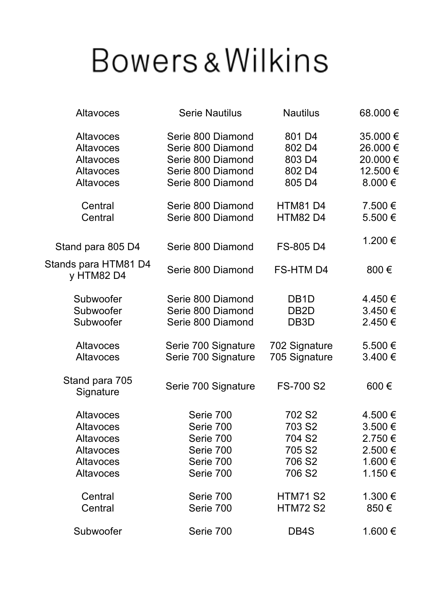## **Bowers & Wilkins**

| <b>Altavoces</b>                   | <b>Serie Nautilus</b> | <b>Nautilus</b>    | 68.000€     |
|------------------------------------|-----------------------|--------------------|-------------|
| <b>Altavoces</b>                   | Serie 800 Diamond     | 801 D4             | 35.000€     |
| <b>Altavoces</b>                   | Serie 800 Diamond     | 802 D4             | 26.000€     |
| Altavoces                          | Serie 800 Diamond     | 803 D4             | 20.000€     |
| <b>Altavoces</b>                   | Serie 800 Diamond     | 802 D4             | 12.500€     |
| <b>Altavoces</b>                   | Serie 800 Diamond     | 805 D4             | $8.000 \in$ |
| Central                            | Serie 800 Diamond     | <b>HTM81D4</b>     | 7.500 €     |
| Central                            | Serie 800 Diamond     | <b>HTM82 D4</b>    | 5.500 €     |
| Stand para 805 D4                  | Serie 800 Diamond     | FS-805 D4          | 1.200€      |
| Stands para HTM81 D4<br>y HTM82 D4 | Serie 800 Diamond     | <b>FS-HTM D4</b>   | 800€        |
| Subwoofer                          | Serie 800 Diamond     | DB <sub>1</sub> D  | 4.450 €     |
| Subwoofer                          | Serie 800 Diamond     | DB <sub>2</sub> D  | $3.450 \in$ |
| Subwoofer                          | Serie 800 Diamond     | DB <sub>3</sub> D  | 2.450€      |
| Altavoces                          | Serie 700 Signature   | 702 Signature      | $5.500 \in$ |
| <b>Altavoces</b>                   | Serie 700 Signature   | 705 Signature      | $3.400 \in$ |
| Stand para 705<br>Signature        | Serie 700 Signature   | FS-700 S2          | 600€        |
| <b>Altavoces</b>                   | Serie 700             | 702 S <sub>2</sub> | 4.500 €     |
| <b>Altavoces</b>                   | Serie 700             | 703 S2             | 3.500€      |
| <b>Altavoces</b>                   | Serie 700             | 704 S <sub>2</sub> | $2.750 \in$ |
| Altavoces                          | Serie 700             | 705 S2             | $2.500 \in$ |
| <b>Altavoces</b>                   | Serie 700             | 706 S <sub>2</sub> | 1.600 €     |
| <b>Altavoces</b>                   | Serie 700             | 706 S <sub>2</sub> | 1.150 €     |
| Central                            | Serie 700             | <b>HTM71 S2</b>    | 1.300 €     |
| Central                            | Serie 700             | <b>HTM72 S2</b>    | 850€        |
| Subwoofer                          | Serie 700             | DB4S               | 1.600€      |